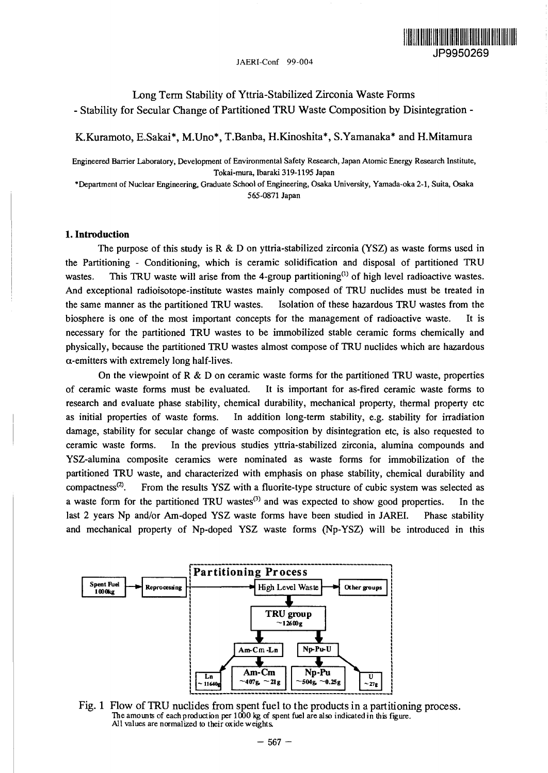

Long Term Stability of Yttria-Stabilized Zirconia Waste Forms - Stability for Secular Change of Partitioned TRU Waste Composition by Disintegration -

K.Kuramoto, E.Sakai\*, M.Uno\*, T.Banba, H.Kinoshita\*, S.Yamanaka\* and H.Mitamura

Engineered Barrier Laboratory, Development of Environmental Safety Research, Japan Atomic Energy Research Institute, Tokai-mura, Ibaraki 319-1195 Japan

\*Department of Nuclear Engineering, Graduate School of Engineering, Osaka University, Yamada-oka 2-1, Suita, Osaka 565-0871 Japan

## **1. Introduction**

The purpose of this study is R & D on yttria-stabilized zirconia (YSZ) as waste forms used in the Partitioning - Conditioning, which is ceramic solidification and disposal of partitioned TRU wastes. This TRU waste will arise from the 4-group partitioning<sup>(1)</sup> of high level radioactive wastes. And exceptional radioisotope-institute wastes mainly composed of TRU nuclides must be treated in the same manner as the partitioned TRU wastes. Isolation of these hazardous TRU wastes from the biosphere is one of the most important concepts for the management of radioactive waste. It is necessary for the partitioned TRU wastes to be immobilized stable ceramic forms chemically and physically, because the partitioned TRU wastes almost compose of TRU nuclides which are hazardous  $\alpha$ -emitters with extremely long half-lives.

On the viewpoint of R & D on ceramic waste forms for the partitioned TRU waste, properties of ceramic waste forms must be evaluated. It is important for as-fired ceramic waste forms to research and evaluate phase stability, chemical durability, mechanical property, thermal property etc as initial properties of waste forms. In addition long-term stability, e.g. stability for irradiation damage, stability for secular change of waste composition by disintegration etc, is also requested to ceramic waste forms. In the previous studies yttria-stabilized zirconia, alumina compounds and YSZ-alumina composite ceramics were nominated as waste forms for immobilization of the partitioned TRU waste, and characterized with emphasis on phase stability, chemical durability and  $compactness<sup>(2)</sup>$ . . From the results YSZ with a fluorite-type structure of cubic system was selected as a waste form for the partitioned TRU wastes<sup>(3)</sup> and was expected to show good properties. In the last 2 years Np and/or Am-doped YSZ waste forms have been studied in JAREI. Phase stability and mechanical property of Np-doped YSZ waste forms (Np-YSZ) will be introduced in this



Fig. 1 Flow of TRU nuclides from spent fuel to the products in a partitioning process. The amounts of each production per  $1000$  kg of spent fuel are also indicated in this figure. All values are normalized to their oxide weights.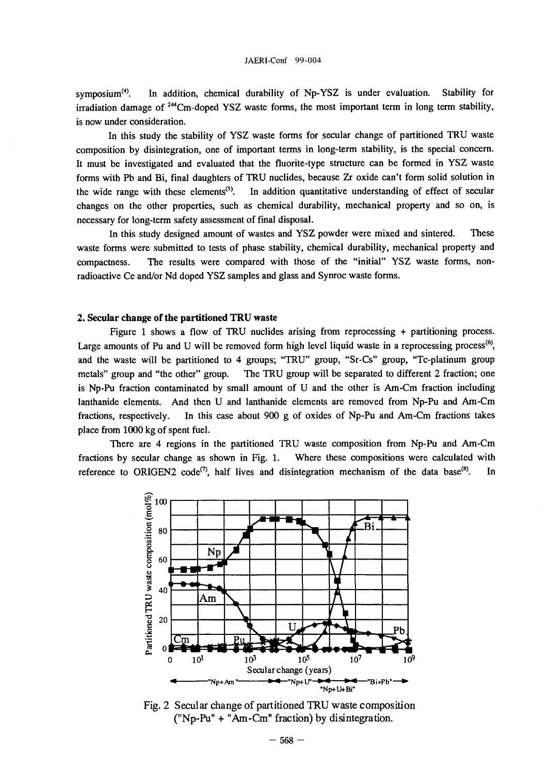symposium $(4)$ . . In addition, chemical durability of Np-YSZ is under evaluation. Stability for irradiation damage of <sup>244</sup>Cm-doped YSZ waste forms, the most important term in long term stability, is now under consideration.

In this study the stability of YSZ waste forms for secular change of partitioned TRU waste composition by disintegration, one of important terms in long-term stability, is the special concern. It must be investigated and evaluated that the fluorite-type structure can be formed in YSZ waste forms with Pb and Bi, final daughters of TRU nuclides, because Zr oxide can't form solid solution in the wide range with these elements<sup> $(5)$ </sup>. . In addition quantitative understanding of effect of secular changes on the other properties, such as chemical durability, mechanical property and so on, is necessary for long-term safety assessment of final disposal.

In this study designed amount of wastes and YSZ powder were mixed and sintered. These waste forms were submitted to tests of phase stability, chemical durability, mechanical property and compactness. The results were compared with those of the "initial" YSZ waste forms, nonradioactive Ce and/or Nd doped YSZ samples and glass and Synroc waste forms.

### **2. Secular change of the partitioned TRU waste**

Figure 1 shows a flow of TRU nuclides arising from reprocessing + partitioning process. Large amounts of Pu and U will be removed form high level liquid waste in a reprocessing process<sup>(6)</sup>, and the waste will be partitioned to 4 groups; "TRU" group, "Sr-Cs" group, "Tc-platinum group metals" group and "the other" group. The TRU group will be separated to different 2 fraction; one is Np-Pu fraction contaminated by small amount of U and the other is Am-Cm fraction including lanthanide elements. And then U and lanthanide elements are removed from Np-Pu and Am-Cm fractions, respectively. In this case about 900 g of oxides of Np-Pu and Am-Cm fractions takes place from 1000 kg of spent fuel.

There are 4 regions in the partitioned TRU waste composition from Np-Pu and Am-Cm fractions by secular change as shown in Fig. 1. Where these compositions were calculated with reference to ORIGEN2 code<sup>(7)</sup>, half lives and disintegration mechanism of the data base<sup>(8)</sup> . In



Fig. 2 Secular change of partitioned TRU waste composition ("Np-Pu" + "Am-Cm" fraction) by disintegration.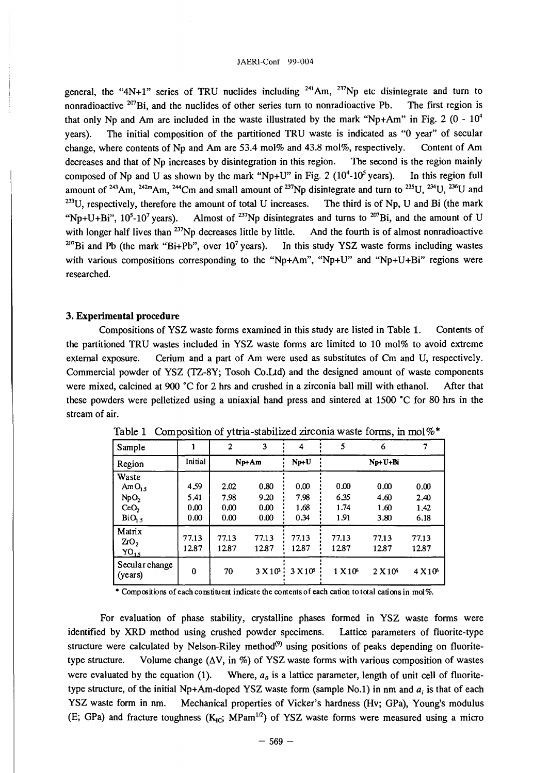general, the "4N+1" series of TRU nuclides including  $241$ Am,  $237$ Np etc disintegrate and turn to nonradioactive <sup>207</sup>Bi, and the nuclides of other series turn to nonradioactive Pb. The first region is that only Np and Am are included in the waste illustrated by the mark "Np+Am" in Fig. 2 (0 -  $10^4$ years). The initial composition of the partitioned TRU waste is indicated as "0 year" of secular change, where contents of Np and Am are 53.4 mol% and 43.8 mol%, respectively. Content of Am decreases and that of Np increases by disintegration in this region. The second is the region mainly composed of Np and U as shown by the mark "Np+U" in Fig. 2  $(10^4$ - $10^5$ In this region full amount of <sup>243</sup>Am, <sup>242m</sup>Am, <sup>244</sup>Cm and small amount of <sup>237</sup>Np disintegrate and turn to <sup>235</sup>U, <sup>234</sup>U, <sup>236</sup>U an  $233$ U, respectively, therefore the amount of total U increases. The third is of Np, U and Bi (the mark "Np+U+Bi",  $10^5$ -10<sup>7</sup> years). Almost of <sup>237</sup>Np disintegrates and turns to <sup>207</sup>Bi, and the amount of U with longer half lives than  $^{237}$ Np decreases little by little. And the fourth is of almost nonradioactive <sup>207</sup>Bi and Pb (the mark "Bi+Pb", over 10<sup>7</sup> years). In this study YSZ waste forms including wastes with various compositions corresponding to the "Np+Am", "Np+U" and "Np+U+Bi" regions were researched.

# **3. Experimental procedure**

Compositions of YSZ waste forms examined in this study are listed in Table 1. Contents of the partitioned TRU wastes included in YSZ waste forms are limited to 10 mol% to avoid extreme external exposure. Cerium and a part of Am were used as substitutes of Cm and U, respectively. Commercial powder of YSZ (TZ-8Y; Tosoh Co.Ltd) and the designed amount of waste components were mixed, calcined at 900 °C for 2 hrs and crushed in a zirconia ball mill with ethanol. After that these powders were pelletized using a uniaxial hand press and sintered at 1500 °C for 80 hrs in the stream of air.

| Sample                                                                                   |                              | $\overline{2}$               | 3                            | 4                            | 5                            | 6                            |                              |
|------------------------------------------------------------------------------------------|------------------------------|------------------------------|------------------------------|------------------------------|------------------------------|------------------------------|------------------------------|
| Region                                                                                   | Initial                      | Np+Am                        |                              | $Np+U$                       | Np+U+Bi                      |                              |                              |
| Waste<br>AmO <sub>15</sub><br>NpO <sub>2</sub><br>CeO <sub>2</sub><br>BiO <sub>1.5</sub> | 4.59<br>5.41<br>0.00<br>0.00 | 2.02<br>7.98<br>0.00<br>0.00 | 0.80<br>9.20<br>0.00<br>0.00 | 0.00<br>7.98<br>1.68<br>0.34 | 0.00<br>6.35<br>1.74<br>1.91 | 0.00<br>4.60<br>1.60<br>3.80 | 0.00<br>2.40<br>1.42<br>6.18 |
| Matrix<br>2rO <sub>2</sub><br>$YO_{1.5}$                                                 | 77.13<br>12.87               | 77.13<br>12.87               | 77.13<br>12.87               | 77.13<br>12.87               | 77.13<br>12.87               | 77.13<br>12.87               | 77.13<br>12.87               |
| Secular change<br>(years)                                                                | $\bf{0}$                     | 70                           | 3 X10 <sup>3</sup>           | 3 X10 <sup>5</sup>           | 1 X10 <sup>6</sup>           | 2 X10 <sup>6</sup>           | $4 \times 10^6$              |

Table 1 Composition of yttria-stabilized zirconia waste forms, in mol%\*

\* Compositions of each constituent indicate the contents of each cation to total cations in mol%.

For evaluation of phase stability, crystalline phases formed in YSZ waste forms were identified by XRD method using crushed powder specimens. Lattice parameters of fluorite-type structure were calculated by Nelson-Riley method<sup>(9)</sup> using positions of peaks depending on fluoritetype structure. Volume change  $(\Delta V, in \%)$  of YSZ waste forms with various composition of wastes were evaluated by the equation (1). Where,  $a_0$  is a lattice parameter, length of unit cell of fluoritetype structure, of the initial Np+Am-doped YSZ waste form (sample No.1) in nm and  $a_i$  is that of each YSZ waste form in nm. Mechanical properties of Vicker's hardness (Hv; GPa), Young's modulus (E; GPa) and fracture toughness  $(K_{\text{IC}}; MPam^{1/2})$  of YSZ waste forms were measured using a micro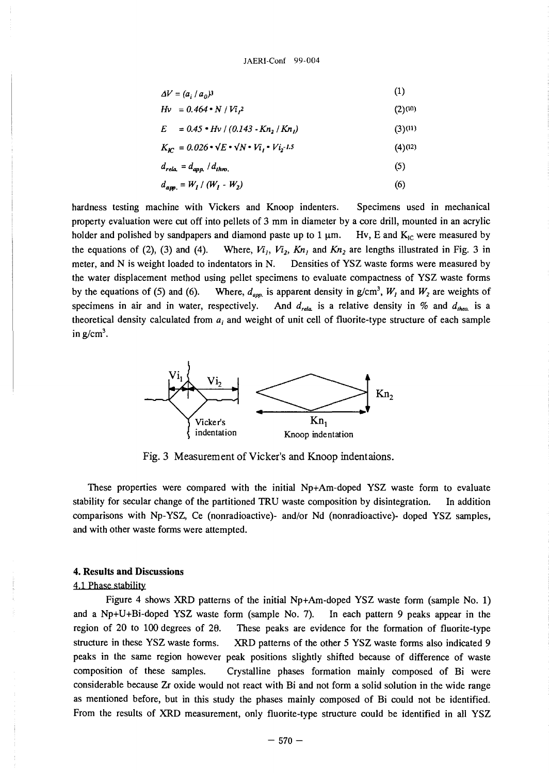$$
\Delta V = (a_i / a_0)^3 \tag{1}
$$

$$
Hv = 0.464 \cdot N / Vi_t^2
$$
 (2) (10)

$$
E = 0.45 \cdot Hv / (0.143 - Kn_2 / Kn_1)
$$
 (3) (11)

$$
K_{\text{IC}} = 0.026 \cdot \sqrt{E} \cdot \sqrt{N} \cdot V_{i_1} \cdot V_{i_2} \cdot L5 \tag{4}
$$

$$
d_{rela.} = d_{app.} / d_{thro.} \tag{5}
$$

$$
d_{app.} = W_1 / (W_1 - W_2)
$$
 (6)

hardness testing machine with Vickers and Knoop indenters. Specimens used in mechanical property evaluation were cut off into pellets of 3 mm in diameter by a core drill, mounted in an acrylic holder and polished by sandpapers and diamond paste up to 1  $\mu$ m. Hv, E and K<sub>1C</sub> were measured by the equations of (2), (3) and (4). Where,  $Vi_1$ ,  $Vi_2$ ,  $Kn_1$  and  $Kn_2$  are lengths illustrated in Fig. 3 in meter, and N is weight loaded to indentators in N. Densities of YSZ waste forms were measured by the water displacement method using pellet specimens to evaluate compactness of YSZ waste forms by the equations of (5) and (6). Where,  $d_{\text{app}}$  is apparent density in  $g/cm^3$ ,  $W_1$  and  $W_2$  are weights of specimens in air and in water, respectively. And  $d_{rela}$  is a relative density in % and  $d_{theo}$  is a theoretical density calculated from  $a_i$  and weight of unit cell of fluorite-type structure of each sample in  $g/cm<sup>3</sup>$ .



Fig. 3 Measurement of Vicker's and Knoop indentaions.

These properties were compared with the initial Np+Am-doped YSZ waste form to evaluate stability for secular change of the partitioned TRU waste composition by disintegration. In addition comparisons with Np-YSZ, Ce (nonradioactive)- and/or Nd (nonradioactive)- doped YSZ samples, and with other waste forms were attempted.

# **4. Results and Discussions**

# 4.1 Phase stability

Figure 4 shows XRD patterns of the initial Np+Am-doped YSZ waste form (sample No. 1) and a Np+U+Bi-doped YSZ waste form (sample No. 7). In each pattern 9 peaks appear in the region of 20 to 100 degrees of 29. These peaks are evidence for the formation of fluorite-type structure in these YSZ waste forms. XRD patterns of the other 5 YSZ waste forms also indicated 9 peaks in the same region however peak positions slightly shifted because of difference of waste composition of these samples. Crystalline phases formation mainly composed of Bi were considerable because Zr oxide would not react with Bi and not form a solid solution in the wide range as mentioned before, but in this study the phases mainly composed of Bi could not be identified. From the results of XRD measurement, only fluorite-type structure could be identified in all YSZ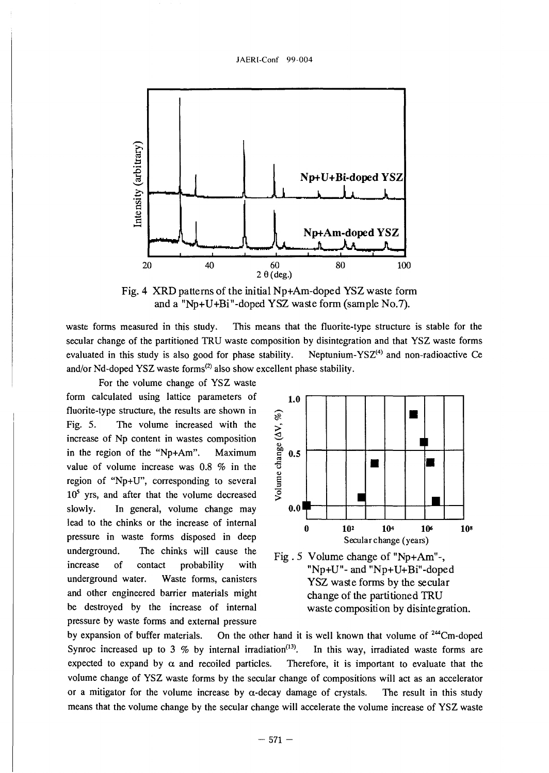

Fig. 4 XRD patterns of the initial Np+Am-doped YSZ waste form and a "Np+U+Bi"-doped YSZ waste form (sample No.7).

waste forms measured in this study. This means that the fluorite-type structure is stable for the secular change of the partitioned TRU waste composition by disintegration and that YSZ waste forms evaluated in this study is also good for phase stability. Neptunium-YS $Z^{(4)}$  and non-radioactive Ce and/or Nd-doped YSZ waste forms<sup>(2)</sup> also show excellent phase stability.

For the volume change of YSZ waste form calculated using lattice parameters of fluorite-type structure, the results are shown in Fig. 5. The volume increased with the increase of Np content in wastes composition in the region of the "Np+Am". Maximum value of volume increase was 0.8 % in the region of "Np+U", corresponding to several  $10<sup>5</sup>$  yrs, and after that the volume decreased slowly. In general, volume change may lead to the chinks or the increase of internal pressure in waste forms disposed in deep underground. The chinks will cause the increase of contact probability with underground water. Waste forms, canisters and other engineered barrier materials might be destroyed by the increase of internal pressure by waste forms and external pressure



Fig . 5 Volume change of "Np+Am"-, "Np+U"- and "Np+U+Bi"-doped YSZ waste forms by the secular change of the partitioned TRU waste composition by disintegration.

by expansion of buffer materials. On the other hand it is well known that volume of <sup>244</sup>Cm-doped Synroc increased up to 3 % by internal irradiation<sup>(13)</sup>. . In this way, irradiated waste forms are expected to expand by  $\alpha$  and recoiled particles. Therefore, it is important to evaluate that the volume change of YSZ waste forms by the secular change of compositions will act as an accelerator or a mitigator for the volume increase by  $\alpha$ -decay damage of crystals. The result in this study means that the volume change by the secular change will accelerate the volume increase of YSZ waste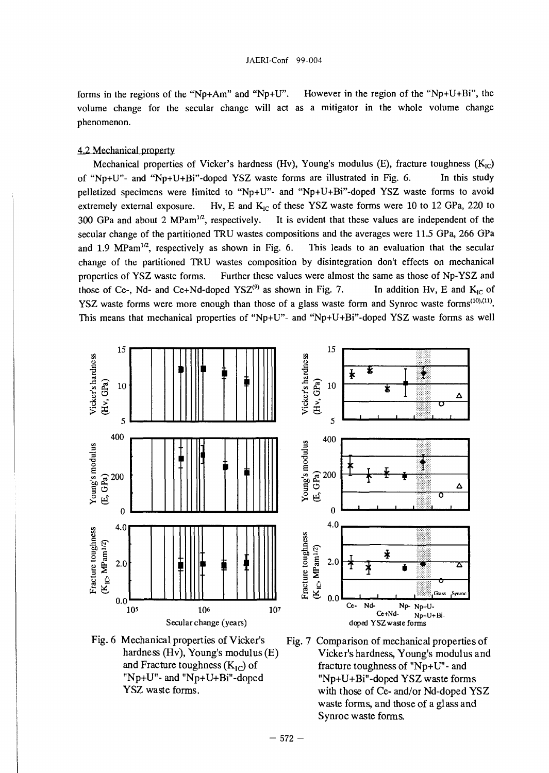forms in the regions of the "Np+Am" and "Np+U". However in the region of the "Np+U+Bi", the volume change for the secular change will act as a mitigator in the whole volume change phenomenon.

## 4.2 Mechanical property

Mechanical properties of Vicker's hardness (Hv), Young's modulus (E), fracture toughness  $(K_{IC})$ of "Np+U"- and "Np+U+Bi"-doped YSZ waste forms are illustrated in Fig. 6. In this study pelletized specimens were limited to "Np+U"- and "Np+U+Bi"-doped YSZ waste forms to avoid extremely external exposure. Hv, E and  $K_{1C}$  of these YSZ waste forms were 10 to 12 GPa, 220 to 300 GPa and about 2 MPam<sup>1/2</sup>, respectively. It is evident that these values are independent of the secular change of the partitioned TRU wastes compositions and the averages were 11.5 GPa, 266 GPa and 1.9 MPam<sup>1/2</sup>, respectively as shown in Fig. 6. This leads to an evaluation that the secular change of the partitioned TRU wastes composition by disintegration don't effects on mechanical properties of YSZ waste forms. Further these values were almost the same as those of Np-YSZ and those of Ce-, Nd- and Ce+Nd-doped  $YSZ^{(9)}$  as shown in Fig. 7. In addition Hv, E and  $K_{IC}$  of YSZ waste forms were more enough than those of a glass waste form and Synroc waste forms<sup> $(10),(11)$ </sup>. This means that mechanical properties of "Np+U"- and "Np+U+Bi"-doped YSZ waste forms as well





Fig. 7 Comparison of mechanical properties of Vicker's hardness, Young's modulus and fracture toughness of "Np+U"- and "Np+U+Bi"-doped YSZ waste forms with those of Ce- and/or Nd-doped YSZ waste forms, and those of a glass and Synroc waste forms.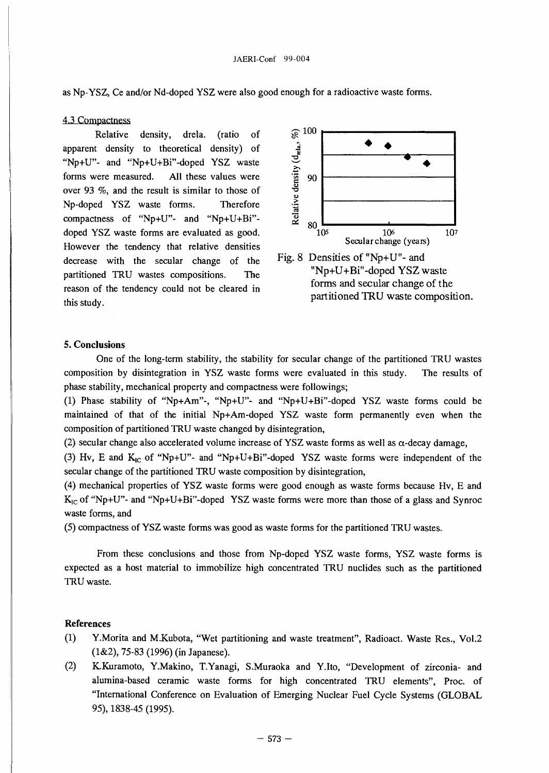as Np-YSZ, Ce and/or Nd-doped YSZ were also good enough for a radioactive waste forms.

### 4.3 Compactness

Relative density, drela. (ratio of apparent density to theoretical density) of "Np+U"- and "Np+U+Bi"-doped YSZ waste forms were measured. All these values were over 93 *%,* and the result is similar to those of Np-doped YSZ waste forms. Therefore compactness of "Np+U"- and "Np+U+Bi" doped YSZ waste forms are evaluated as good. However the tendency that relative densities decrease with the secular change of the partitioned TRU wastes compositions. The reason of the tendency could not be cleared in this study.



"Np+U+Bi"-doped YSZ waste forms and secular change of the partitioned TRU waste composition.

# **5. Conclusions**

One of the long-term stability, the stability for secular change of the partitioned TRU wastes composition by disintegration in YSZ waste forms were evaluated in this study. The results of phase stability, mechanical property and compactness were followings;

(1) Phase stability of "Np+Am"-, "Np+U"- and "Np+U+Bi"-doped YSZ waste forms could be maintained of that of the initial Np+Am-doped YSZ waste form permanently even when the composition of partitioned TRU waste changed by disintegration,

(2) secular change also accelerated volume increase of YSZ waste forms as well as  $\alpha$ -decay damage,

(3) Hv, E and  $K_{1c}$  of "Np+U"- and "Np+U+Bi"-doped YSZ waste forms were independent of the secular change of the partitioned TRU waste composition by disintegration,

(4) mechanical properties of YSZ waste forms were good enough as waste forms because Hv, E and  $K_{IC}$  of "Np+U"- and "Np+U+Bi"-doped YSZ waste forms were more than those of a glass and Synroc waste forms, and

(5) compactness of YSZ waste forms was good as waste forms for the partitioned TRU wastes.

From these conclusions and those from Np-doped YSZ waste forms, YSZ waste forms is expected as a host material to immobilize high concentrated TRU nuclides such as the partitioned TRU waste.

## References

- (1) Y.Morita and M.Kubota, "Wet partitioning and waste treatment", Radioact. Waste Res., Vol.2 (1&2), 75-83 (1996) (in Japanese).
- (2) K.Kuramoto, Y.Makino, T.Yanagi, S.Muraoka and Y.Ito, "Development of zirconia- and alumina-based ceramic waste forms for high concentrated TRU elements", Proc. of "International Conference on Evaluation of Emerging Nuclear Fuel Cycle Systems (GLOBAL 95), 1838-45 (1995).